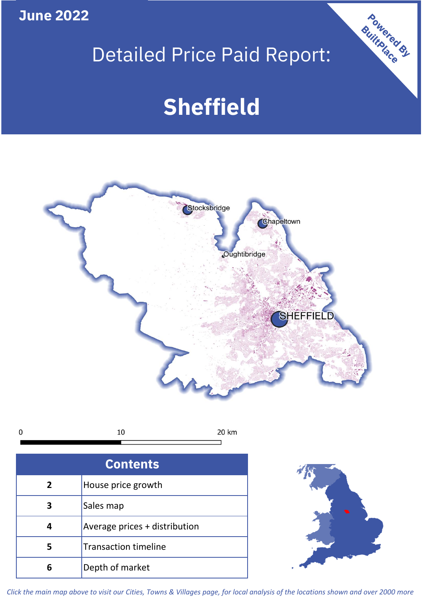**June 2022**

# Detailed Price Paid Report:

# **Sheffield**



10 20 km  $\mathbf 0$ 

| <b>Contents</b> |                               |  |  |
|-----------------|-------------------------------|--|--|
| $\overline{2}$  | House price growth            |  |  |
|                 | Sales map                     |  |  |
|                 | Average prices + distribution |  |  |
| 5               | <b>Transaction timeline</b>   |  |  |
| 6               | Depth of market               |  |  |



Powered By

*Click the main map above to visit our Cities, Towns & Villages page, for local analysis of the locations shown and over 2000 more*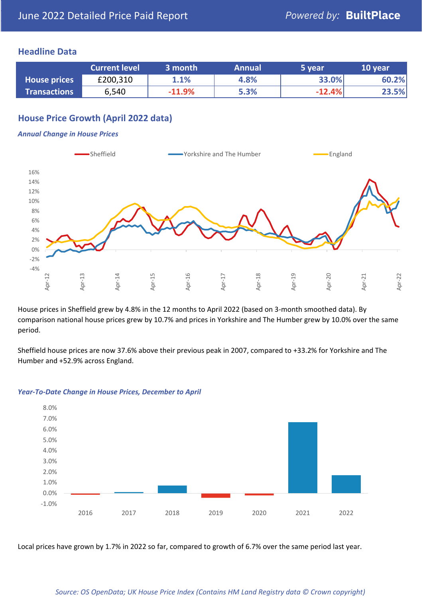#### **Headline Data**

|                     | <b>Current level</b> | 3 month  | <b>Annual</b> | 5 year   | 10 year |
|---------------------|----------------------|----------|---------------|----------|---------|
| <b>House prices</b> | £200,310             | 1.1%     | 4.8%          | 33.0%    | 60.2%   |
| <b>Transactions</b> | 6,540                | $-11.9%$ | 5.3%          | $-12.4%$ | 23.5%   |

# **House Price Growth (April 2022 data)**

#### *Annual Change in House Prices*



House prices in Sheffield grew by 4.8% in the 12 months to April 2022 (based on 3-month smoothed data). By comparison national house prices grew by 10.7% and prices in Yorkshire and The Humber grew by 10.0% over the same period.

Sheffield house prices are now 37.6% above their previous peak in 2007, compared to +33.2% for Yorkshire and The Humber and +52.9% across England.



#### *Year-To-Date Change in House Prices, December to April*

Local prices have grown by 1.7% in 2022 so far, compared to growth of 6.7% over the same period last year.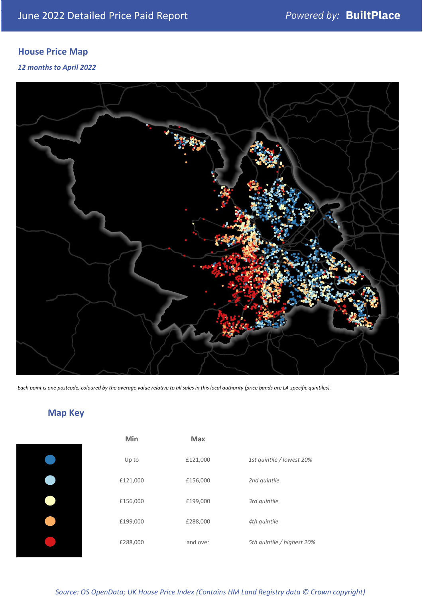# **House Price Map**

*12 months to April 2022*



*Each point is one postcode, coloured by the average value relative to all sales in this local authority (price bands are LA-specific quintiles).*

# **Map Key**

| Min      | Max      |                            |
|----------|----------|----------------------------|
| Up to    | £121,000 | 1st quintile / lowest 20%  |
| £121,000 | £156,000 | 2nd quintile               |
| £156,000 | £199,000 | 3rd quintile               |
| £199,000 | £288,000 | 4th quintile               |
| £288,000 | and over | 5th quintile / highest 20% |

#### *Source: OS OpenData; UK House Price Index (Contains HM Land Registry data © Crown copyright)*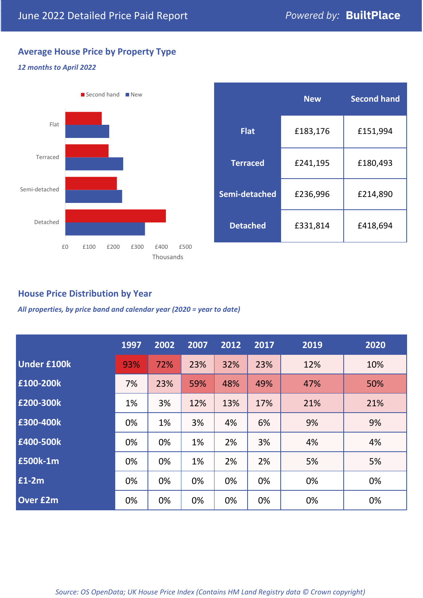# **Average House Price by Property Type**

#### *12 months to April 2022*



|                 | <b>New</b> | <b>Second hand</b> |  |  |
|-----------------|------------|--------------------|--|--|
| <b>Flat</b>     | £183,176   | £151,994           |  |  |
| <b>Terraced</b> | £241,195   | £180,493           |  |  |
| Semi-detached   | £236,996   | £214,890           |  |  |
| <b>Detached</b> | £331,814   | £418,694           |  |  |

### **House Price Distribution by Year**

*All properties, by price band and calendar year (2020 = year to date)*

|                    | 1997 | 2002 | 2007 | 2012 | 2017 | 2019 | 2020 |
|--------------------|------|------|------|------|------|------|------|
| <b>Under £100k</b> | 93%  | 72%  | 23%  | 32%  | 23%  | 12%  | 10%  |
| £100-200k          | 7%   | 23%  | 59%  | 48%  | 49%  | 47%  | 50%  |
| E200-300k          | 1%   | 3%   | 12%  | 13%  | 17%  | 21%  | 21%  |
| £300-400k          | 0%   | 1%   | 3%   | 4%   | 6%   | 9%   | 9%   |
| £400-500k          | 0%   | 0%   | 1%   | 2%   | 3%   | 4%   | 4%   |
| £500k-1m           | 0%   | 0%   | 1%   | 2%   | 2%   | 5%   | 5%   |
| £1-2m              | 0%   | 0%   | 0%   | 0%   | 0%   | 0%   | 0%   |
| <b>Over £2m</b>    | 0%   | 0%   | 0%   | 0%   | 0%   | 0%   | 0%   |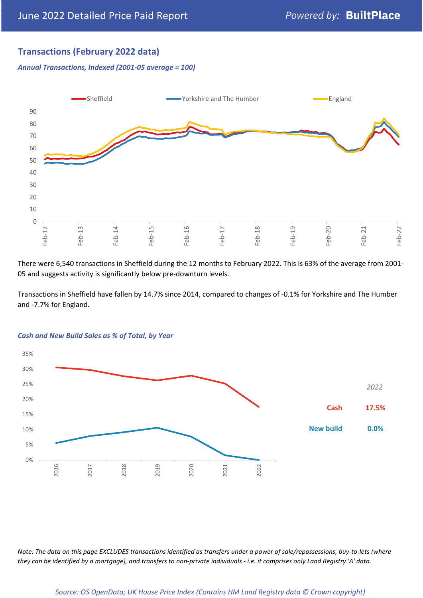# **Transactions (February 2022 data)**

*Annual Transactions, Indexed (2001-05 average = 100)*



There were 6,540 transactions in Sheffield during the 12 months to February 2022. This is 63% of the average from 2001- 05 and suggests activity is significantly below pre-downturn levels.

Transactions in Sheffield have fallen by 14.7% since 2014, compared to changes of -0.1% for Yorkshire and The Humber and -7.7% for England.



#### *Cash and New Build Sales as % of Total, by Year*

*Note: The data on this page EXCLUDES transactions identified as transfers under a power of sale/repossessions, buy-to-lets (where they can be identified by a mortgage), and transfers to non-private individuals - i.e. it comprises only Land Registry 'A' data.*